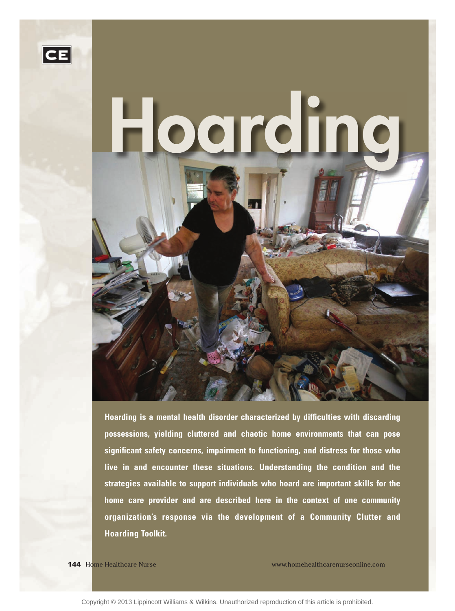



Hoarding is a mental health disorder characterized by difficulties with discarding  **possessions, yielding cluttered and chaotic home environments that can pose**  significant safety concerns, impairment to functioning, and distress for those who **live in and encounter these situations. Understanding the condition and the strategies available to support individuals who hoard are important skills for the home care provider and are described here in the context of one community organization's response via the development of a Community Clutter and Hoarding Toolkit.**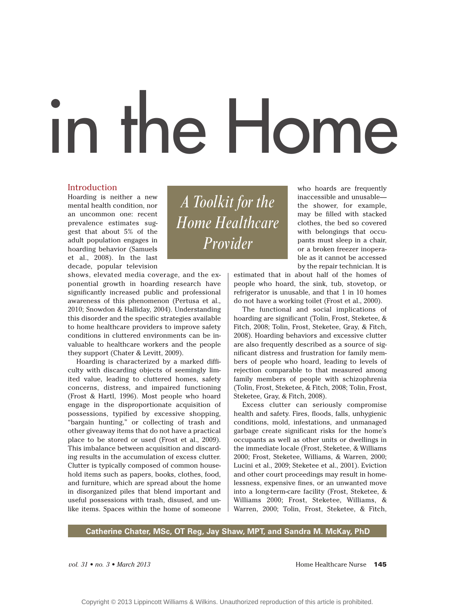# in the Home

# Introduction

Hoarding is neither a new mental health condition, nor an uncommon one: recent prevalence estimates suggest that about 5% of the adult population engages in hoarding behavior (Samuels et al., 2008). In the last decade, popular television

shows, elevated media coverage, and the exponential growth in hoarding research have significantly increased public and professional awareness of this phenomenon (Pertusa et al., 2010; Snowdon & Halliday, 2004). Understanding this disorder and the specific strategies available to home healthcare providers to improve safety conditions in cluttered environments can be invaluable to healthcare workers and the people they support (Chater & Levitt, 2009).

Hoarding is characterized by a marked difficulty with discarding objects of seemingly limited value, leading to cluttered homes, safety concerns, distress, and impaired functioning (Frost & Hartl, 1996). Most people who hoard engage in the disproportionate acquisition of possessions, typified by excessive shopping, "bargain hunting," or collecting of trash and other giveaway items that do not have a practical place to be stored or used (Frost et al., 2009). This imbalance between acquisition and discarding results in the accumulation of excess clutter. Clutter is typically composed of common household items such as papers, books, clothes, food, and furniture, which are spread about the home in disorganized piles that blend important and useful possessions with trash, disused, and unlike items. Spaces within the home of someone

*A Toolkit for the Home Healthcare Provider*

who hoards are frequently inaccessible and unusable the shower, for example, may be filled with stacked clothes, the bed so covered with belongings that occupants must sleep in a chair, or a broken freezer inoperable as it cannot be accessed by the repair technician. It is

estimated that in about half of the homes of people who hoard, the sink, tub, stovetop, or refrigerator is unusable, and that 1 in 10 homes do not have a working toilet (Frost et al., 2000).

The functional and social implications of hoarding are significant (Tolin, Frost, Steketee, & Fitch, 2008; Tolin, Frost, Steketee, Gray, & Fitch, 2008). Hoarding behaviors and excessive clutter are also frequently described as a source of significant distress and frustration for family members of people who hoard, leading to levels of rejection comparable to that measured among family members of people with schizophrenia (Tolin, Frost, Steketee, & Fitch, 2008; Tolin, Frost, Steketee, Gray, & Fitch, 2008).

Excess clutter can seriously compromise health and safety. Fires, floods, falls, unhygienic conditions, mold, infestations, and unmanaged garbage create significant risks for the home's occupants as well as other units or dwellings in the immediate locale (Frost, Steketee, & Williams 2000; Frost, Steketee, Williams, & Warren, 2000; Lucini et al., 2009; Steketee et al., 2001). Eviction and other court proceedings may result in homelessness, expensive fines, or an unwanted move into a long-term-care facility (Frost, Steketee, & Williams 2000; Frost, Steketee, Williams, & Warren, 2000; Tolin, Frost, Steketee, & Fitch,

**Catherine Chater, MSc, OT Reg, Jay Shaw, MPT, and Sandra M. McKay, PhD**

*vol. 31* • *no. 3* • *March 2013* **Home Healthcare Nurse <b>145**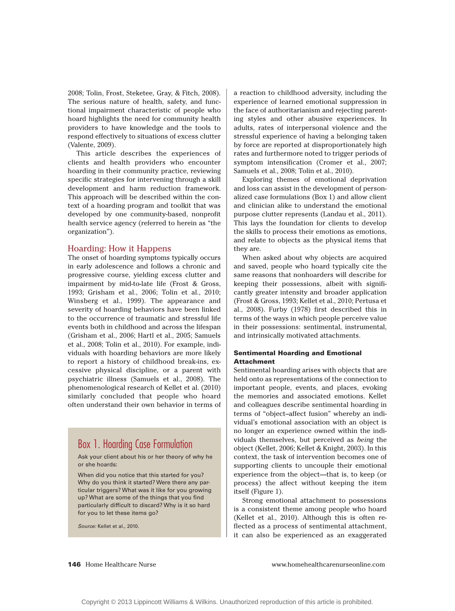2008; Tolin, Frost, Steketee, Gray, & Fitch, 2008). The serious nature of health, safety, and functional impairment characteristic of people who hoard highlights the need for community health providers to have knowledge and the tools to respond effectively to situations of excess clutter (Valente, 2009).

This article describes the experiences of clients and health providers who encounter hoarding in their community practice, reviewing specific strategies for intervening through a skill development and harm reduction framework. This approach will be described within the context of a hoarding program and toolkit that was developed by one community-based, nonprofit health service agency (referred to herein as "the organization").

# Hoarding: How it Happens

The onset of hoarding symptoms typically occurs in early adolescence and follows a chronic and progressive course, yielding excess clutter and impairment by mid-to-late life (Frost & Gross, 1993; Grisham et al., 2006; Tolin et al., 2010; Winsberg et al., 1999). The appearance and severity of hoarding behaviors have been linked to the occurrence of traumatic and stressful life events both in childhood and across the lifespan (Grisham et al., 2006; Hartl et al., 2005; Samuels et al., 2008; Tolin et al., 2010). For example, individuals with hoarding behaviors are more likely to report a history of childhood break-ins, excessive physical discipline, or a parent with psychiatric illness (Samuels et al., 2008). The phenomenological research of Kellet et al. (2010) similarly concluded that people who hoard often understand their own behavior in terms of

# Box 1. Hoarding Case Formulation

Ask your client about his or her theory of why he or she hoards:

When did you notice that this started for you? Why do you think it started? Were there any particular triggers? What was it like for you growing up? What are some of the things that you find particularly difficult to discard? Why is it so hard for you to let these items go?

*Source:* Kellet et al., 2010.

a reaction to childhood adversity, including the experience of learned emotional suppression in the face of authoritarianism and rejecting parenting styles and other abusive experiences. In adults, rates of interpersonal violence and the stressful experience of having a belonging taken by force are reported at disproportionately high rates and furthermore noted to trigger periods of symptom intensification (Cromer et al., 2007; Samuels et al., 2008; Tolin et al., 2010).

Exploring themes of emotional deprivation and loss can assist in the development of personalized case formulations (Box 1) and allow client and clinician alike to understand the emotional purpose clutter represents (Landau et al., 2011). This lays the foundation for clients to develop the skills to process their emotions as emotions, and relate to objects as the physical items that they are.

When asked about why objects are acquired and saved, people who hoard typically cite the same reasons that nonhoarders will describe for keeping their possessions, albeit with significantly greater intensity and broader application (Frost & Gross, 1993; Kellet et al., 2010; Pertusa et al., 2008). Furby (1978) first described this in terms of the ways in which people perceive value in their possessions: sentimental, instrumental, and intrinsically motivated attachments.

## **Sentimental Hoarding and Emotional Attachment**

Sentimental hoarding arises with objects that are held onto as representations of the connection to important people, events, and places, evoking the memories and associated emotions. Kellet and colleagues describe sentimental hoarding in terms of "object–affect fusion" whereby an individual's emotional association with an object is no longer an experience owned within the individuals themselves, but perceived as *being* the object (Kellet, 2006; Kellet & Knight, 2003). In this context, the task of intervention becomes one of supporting clients to uncouple their emotional experience from the object—that is, to keep (or process) the affect without keeping the item itself (Figure 1).

Strong emotional attachment to possessions is a consistent theme among people who hoard (Kellet et al., 2010). Although this is often reflected as a process of sentimental attachment, it can also be experienced as an exaggerated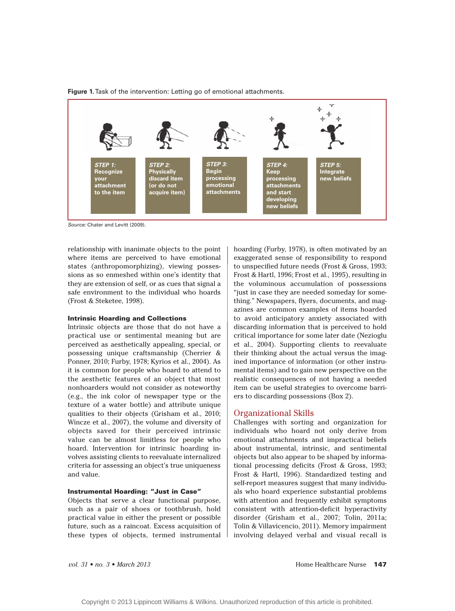

**Figure 1.** Task of the intervention: Letting go of emotional attachments.

*Source:* Chater and Levitt (2009).

relationship with inanimate objects to the point where items are perceived to have emotional states (anthropomorphizing), viewing possessions as so enmeshed within one's identity that they are extension of self, or as cues that signal a safe environment to the individual who hoards (Frost & Steketee, 1998).

#### **Intrinsic Hoarding and Collections**

Intrinsic objects are those that do not have a practical use or sentimental meaning but are perceived as aesthetically appealing, special, or possessing unique craftsmanship (Cherrier & Ponner, 2010; Furby, 1978; Kyrios et al., 2004). As it is common for people who hoard to attend to the aesthetic features of an object that most nonhoarders would not consider as noteworthy (e.g., the ink color of newspaper type or the texture of a water bottle) and attribute unique qualities to their objects (Grisham et al., 2010; Wincze et al., 2007), the volume and diversity of objects saved for their perceived intrinsic value can be almost limitless for people who hoard. Intervention for intrinsic hoarding involves assisting clients to reevaluate internalized criteria for assessing an object's true uniqueness and value.

#### **Instrumental Hoarding: "Just in Case"**

Objects that serve a clear functional purpose, such as a pair of shoes or toothbrush, hold practical value in either the present or possible future, such as a raincoat. Excess acquisition of these types of objects, termed instrumental hoarding (Furby, 1978), is often motivated by an exaggerated sense of responsibility to respond to unspecified future needs (Frost & Gross, 1993; Frost & Hartl, 1996; Frost et al., 1995), resulting in the voluminous accumulation of possessions "just in case they are needed someday for something." Newspapers, flyers, documents, and magazines are common examples of items hoarded to avoid anticipatory anxiety associated with discarding information that is perceived to hold critical importance for some later date (Nezioglu et al., 2004). Supporting clients to reevaluate their thinking about the actual versus the imagined importance of information (or other instrumental items) and to gain new perspective on the realistic consequences of not having a needed item can be useful strategies to overcome barriers to discarding possessions (Box 2).

#### Organizational Skills

Challenges with sorting and organization for individuals who hoard not only derive from emotional attachments and impractical beliefs about instrumental, intrinsic, and sentimental objects but also appear to be shaped by informational processing deficits (Frost & Gross, 1993; Frost & Hartl, 1996). Standardized testing and self-report measures suggest that many individuals who hoard experience substantial problems with attention and frequently exhibit symptoms consistent with attention-deficit hyperactivity disorder (Grisham et al., 2007; Tolin, 2011a; Tolin & Villavicencio, 2011). Memory impairment involving delayed verbal and visual recall is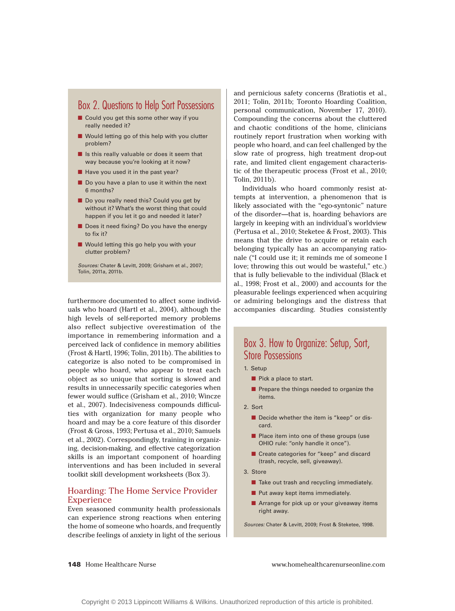# Box 2. Questions to Help Sort Possessions

- Could you get this some other way if you really needed it?
- Would letting go of this help with you clutter problem?
- Is this really valuable or does it seem that way because you're looking at it now?
- Have you used it in the past year?
- Do you have a plan to use it within the next 6 months?
- Do you really need this? Could you get by without it? What's the worst thing that could happen if you let it go and needed it later?
- Does it need fixing? Do you have the energy to fix it?
- Would letting this go help you with your clutter problem?

*Sources:* Chater & Levitt, 2009; Grisham et al., 2007; Tolin, 2011a, 2011b.

furthermore documented to affect some individuals who hoard (Hartl et al., 2004), although the high levels of self-reported memory problems also reflect subjective overestimation of the importance in remembering information and a perceived lack of confidence in memory abilities (Frost & Hartl, 1996; Tolin, 2011b). The abilities to categorize is also noted to be compromised in people who hoard, who appear to treat each object as so unique that sorting is slowed and results in unnecessarily specific categories when fewer would suffice (Grisham et al., 2010; Wincze et al., 2007). Indecisiveness compounds difficulties with organization for many people who hoard and may be a core feature of this disorder (Frost & Gross, 1993; Pertusa et al., 2010; Samuels et al., 2002). Correspondingly, training in organizing, decision-making, and effective categorization skills is an important component of hoarding interventions and has been included in several toolkit skill development worksheets (Box 3).

# Hoarding: The Home Service Provider Experience

Even seasoned community health professionals can experience strong reactions when entering the home of someone who hoards, and frequently describe feelings of anxiety in light of the serious and pernicious safety concerns (Bratiotis et al., 2011; Tolin, 2011b; Toronto Hoarding Coalition, personal communication, November 17, 2010). Compounding the concerns about the cluttered and chaotic conditions of the home, clinicians routinely report frustration when working with people who hoard, and can feel challenged by the slow rate of progress, high treatment drop-out rate, and limited client engagement characteristic of the therapeutic process (Frost et al., 2010; Tolin, 2011b).

Individuals who hoard commonly resist attempts at intervention, a phenomenon that is likely associated with the "ego-syntonic" nature of the disorder—that is, hoarding behaviors are largely in keeping with an individual's worldview (Pertusa et al., 2010; Steketee & Frost, 2003). This means that the drive to acquire or retain each belonging typically has an accompanying rationale ("I could use it; it reminds me of someone I love; throwing this out would be wasteful," etc.) that is fully believable to the individual (Black et al., 1998; Frost et al., 2000) and accounts for the pleasurable feelings experienced when acquiring or admiring belongings and the distress that accompanies discarding. Studies consistently

# Box 3. How to Organize: Setup, Sort, Store Possessions

1. Setup

- Pick a place to start.
- Prepare the things needed to organize the items.
- 2. Sort
	- Decide whether the item is "keep" or discard.
	- Place item into one of these groups (use OHIO rule: "only handle it once").
	- Create categories for "keep" and discard (trash, recycle, sell, giveaway).
- 3. Store
	- Take out trash and recycling immediately.
	- Put away kept items immediately.
	- Arrange for pick up or your giveaway items right away.

*Sources:* Chater & Levitt, 2009; Frost & Steketee, 1998.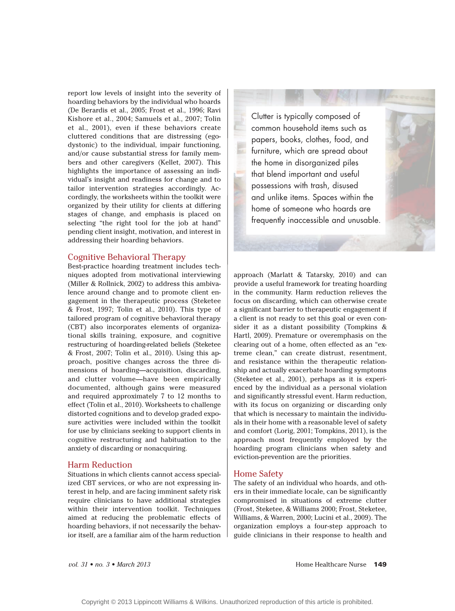report low levels of insight into the severity of hoarding behaviors by the individual who hoards (De Berardis et al., 2005; Frost et al., 1996; Ravi Kishore et al., 2004; Samuels et al., 2007; Tolin et al., 2001), even if these behaviors create cluttered conditions that are distressing (egodystonic) to the individual, impair functioning, and/or cause substantial stress for family members and other caregivers (Kellet, 2007). This highlights the importance of assessing an individual's insight and readiness for change and to tailor intervention strategies accordingly. Accordingly, the worksheets within the toolkit were organized by their utility for clients at differing stages of change, and emphasis is placed on selecting "the right tool for the job at hand" pending client insight, motivation, and interest in addressing their hoarding behaviors.

## Cognitive Behavioral Therapy

Best-practice hoarding treatment includes techniques adopted from motivational interviewing (Miller & Rollnick, 2002) to address this ambivalence around change and to promote client engagement in the therapeutic process (Steketee & Frost, 1997; Tolin et al., 2010). This type of tailored program of cognitive behavioral therapy (CBT) also incorporates elements of organizational skills training, exposure, and cognitive restructuring of hoarding-related beliefs (Steketee & Frost, 2007; Tolin et al., 2010). Using this approach, positive changes across the three dimensions of hoarding—acquisition, discarding, and clutter volume—have been empirically documented, although gains were measured and required approximately 7 to 12 months to effect (Tolin et al., 2010). Worksheets to challenge distorted cognitions and to develop graded exposure activities were included within the toolkit for use by clinicians seeking to support clients in cognitive restructuring and habituation to the anxiety of discarding or nonacquiring.

## Harm Reduction

Situations in which clients cannot access specialized CBT services, or who are not expressing interest in help, and are facing imminent safety risk require clinicians to have additional strategies within their intervention toolkit. Techniques aimed at reducing the problematic effects of hoarding behaviors, if not necessarily the behavior itself, are a familiar aim of the harm reduction

Clutter is typically composed of common household items such as papers, books, clothes, food, and furniture, which are spread about the home in disorganized piles that blend important and useful possessions with trash, disused and unlike items. Spaces within the home of someone who hoards are frequently inaccessible and unusable.

approach (Marlatt & Tatarsky, 2010) and can provide a useful framework for treating hoarding in the community. Harm reduction relieves the focus on discarding, which can otherwise create a significant barrier to therapeutic engagement if a client is not ready to set this goal or even consider it as a distant possibility (Tompkins & Hartl, 2009). Premature or overemphasis on the clearing out of a home, often effected as an "extreme clean," can create distrust, resentment, and resistance within the therapeutic relationship and actually exacerbate hoarding symptoms (Steketee et al., 2001), perhaps as it is experienced by the individual as a personal violation and significantly stressful event. Harm reduction, with its focus on organizing or discarding only that which is necessary to maintain the individuals in their home with a reasonable level of safety and comfort (Lorig, 2001; Tompkins, 2011), is the approach most frequently employed by the hoarding program clinicians when safety and eviction-prevention are the priorities.

## Home Safety

The safety of an individual who hoards, and others in their immediate locale, can be significantly compromised in situations of extreme clutter (Frost, Steketee, & Williams 2000; Frost, Steketee, Williams, & Warren, 2000; Lucini et al., 2009). The organization employs a four-step approach to guide clinicians in their response to health and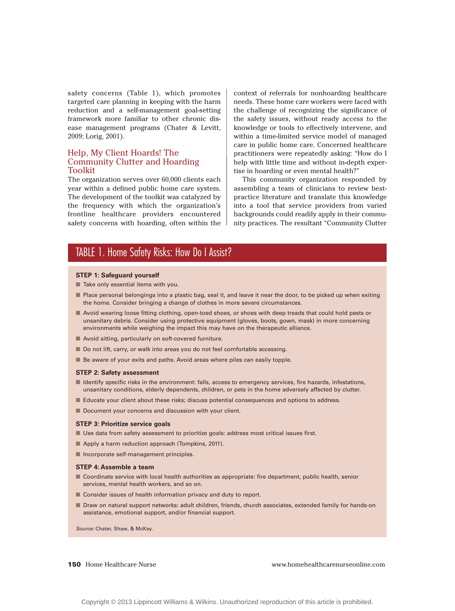safety concerns (Table 1), which promotes targeted care planning in keeping with the harm reduction and a self-management goal-setting framework more familiar to other chronic disease management programs (Chater & Levitt, 2009; Lorig, 2001).

## Help, My Client Hoards! The Community Clutter and Hoarding Toolkit

The organization serves over 60,000 clients each year within a defined public home care system. The development of the toolkit was catalyzed by the frequency with which the organization's frontline healthcare providers encountered safety concerns with hoarding, often within the context of referrals for nonhoarding healthcare needs. These home care workers were faced with the challenge of recognizing the significance of the safety issues, without ready access to the knowledge or tools to effectively intervene, and within a time-limited service model of managed care in public home care. Concerned healthcare practitioners were repeatedly asking: "How do I help with little time and without in-depth expertise in hoarding or even mental health?"

This community organization responded by assembling a team of clinicians to review bestpractice literature and translate this knowledge into a tool that service providers from varied backgrounds could readily apply in their community practices. The resultant "Community Clutter

# TABLE 1. Home Safety Risks: How Do I Assist?

#### **STEP 1: Safeguard yourself**

- Take only essential items with you.
- Place personal belongings into a plastic bag, seal it, and leave it near the door, to be picked up when exiting the home. Consider bringing a change of clothes in more severe circumstances.
- Avoid wearing loose fitting clothing, open-toed shoes, or shoes with deep treads that could hold pests or unsanitary debris. Consider using protective equipment (gloves, boots, gown, mask) in more concerning environments while weighing the impact this may have on the therapeutic alliance.
- Avoid sitting, particularly on soft-covered furniture.
- Do not lift, carry, or walk into areas you do not feel comfortable accessing.
- Be aware of your exits and paths. Avoid areas where piles can easily topple.

#### **STEP 2: Safety assessment**

- Identify specific risks in the environment: falls, access to emergency services, fire hazards, infestations, unsanitary conditions, elderly dependents, children, or pets in the home adversely affected by clutter.
- Educate your client about these risks; discuss potential consequences and options to address.
- Document your concerns and discussion with your client.

#### **STEP 3: Prioritize service goals**

- Use data from safety assessment to prioritize goals: address most critical issues first.
- Apply a harm reduction approach (Tompkins, 2011).
- Incorporate self-management principles.

#### **STEP 4: Assemble a team**

- Coordinate service with local health authorities as appropriate: fire department, public health, senior services, mental health workers, and so on.
- Consider issues of health information privacy and duty to report.
- Draw on natural support networks: adult children, friends, church associates, extended family for hands-on assistance, emotional support, and/or financial support.

*Source:* Chater, Shaw, & McKay.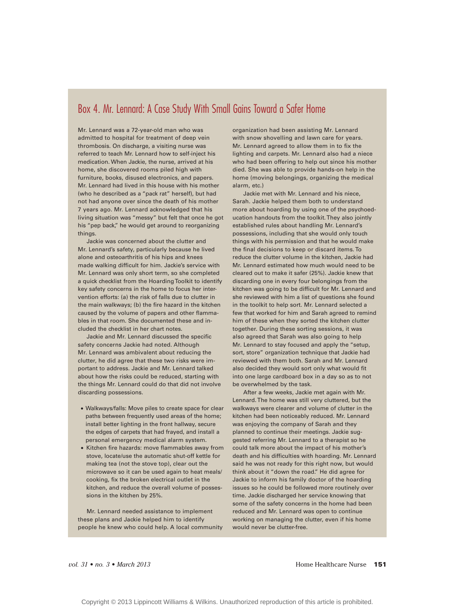# Box 4. Mr. Lennard: A Case Study With Small Gains Toward a Safer Home

Mr. Lennard was a 72-year-old man who was admitted to hospital for treatment of deep vein thrombosis. On discharge, a visiting nurse was referred to teach Mr. Lennard how to self-inject his medication. When Jackie, the nurse, arrived at his home, she discovered rooms piled high with furniture, books, disused electronics, and papers. Mr. Lennard had lived in this house with his mother (who he described as a "pack rat" herself), but had not had anyone over since the death of his mother 7 years ago. Mr. Lennard acknowledged that his living situation was "messy" but felt that once he got his "pep back," he would get around to reorganizing things.

Jackie was concerned about the clutter and Mr. Lennard's safety, particularly because he lived alone and osteoarthritis of his hips and knees made walking difficult for him. Jackie's service with Mr. Lennard was only short term, so she completed a quick checklist from the Hoarding Toolkit to identify key safety concerns in the home to focus her intervention efforts: (a) the risk of falls due to clutter in the main walkways; (b) the fire hazard in the kitchen caused by the volume of papers and other flammables in that room. She documented these and included the checklist in her chart notes.

Jackie and Mr. Lennard discussed the specific safety concerns Jackie had noted. Although Mr. Lennard was ambivalent about reducing the clutter, he did agree that these two risks were important to address. Jackie and Mr. Lennard talked about how the risks could be reduced, starting with the things Mr. Lennard could do that did not involve discarding possessions.

- Walkways/falls: Move piles to create space for clear paths between frequently used areas of the home; install better lighting in the front hallway, secure the edges of carpets that had frayed, and install a personal emergency medical alarm system.
- Kitchen fire hazards: move flammables away from stove, locate/use the automatic shut-off kettle for making tea (not the stove top), clear out the microwave so it can be used again to heat meals/ cooking, fix the broken electrical outlet in the kitchen, and reduce the overall volume of possessions in the kitchen by 25%.

Mr. Lennard needed assistance to implement these plans and Jackie helped him to identify people he knew who could help. A local community organization had been assisting Mr. Lennard with snow shovelling and lawn care for years. Mr. Lennard agreed to allow them in to fix the lighting and carpets. Mr. Lennard also had a niece who had been offering to help out since his mother died. She was able to provide hands-on help in the home (moving belongings, organizing the medical alarm, etc.)

Jackie met with Mr. Lennard and his niece, Sarah. Jackie helped them both to understand more about hoarding by using one of the psychoeducation handouts from the toolkit. They also jointly established rules about handling Mr. Lennard's possessions, including that she would only touch things with his permission and that he would make the final decisions to keep or discard items. To reduce the clutter volume in the kitchen, Jackie had Mr. Lennard estimated how much would need to be cleared out to make it safer (25%). Jackie knew that discarding one in every four belongings from the kitchen was going to be difficult for Mr. Lennard and she reviewed with him a list of questions she found in the toolkit to help sort. Mr. Lennard selected a few that worked for him and Sarah agreed to remind him of these when they sorted the kitchen clutter together. During these sorting sessions, it was also agreed that Sarah was also going to help Mr. Lennard to stay focused and apply the "setup, sort, store" organization technique that Jackie had reviewed with them both. Sarah and Mr. Lennard also decided they would sort only what would fit into one large cardboard box in a day so as to not be overwhelmed by the task.

After a few weeks, Jackie met again with Mr. Lennard. The home was still very cluttered, but the walkways were clearer and volume of clutter in the kitchen had been noticeably reduced. Mr. Lennard was enjoying the company of Sarah and they planned to continue their meetings. Jackie suggested referring Mr. Lennard to a therapist so he could talk more about the impact of his mother's death and his difficulties with hoarding. Mr. Lennard said he was not ready for this right now, but would think about it "down the road." He did agree for Jackie to inform his family doctor of the hoarding issues so he could be followed more routinely over time. Jackie discharged her service knowing that some of the safety concerns in the home had been reduced and Mr. Lennard was open to continue working on managing the clutter, even if his home would never be clutter-free.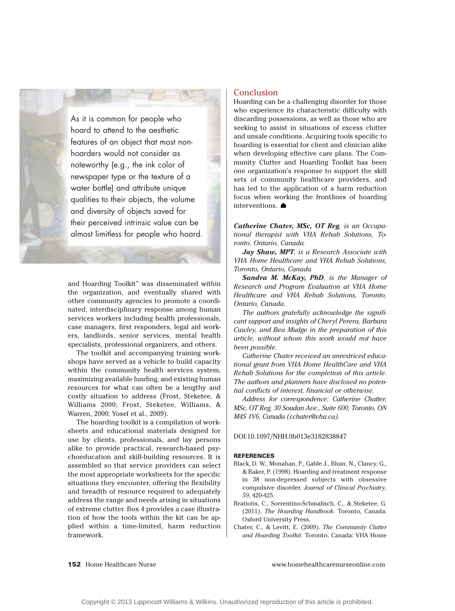

As it is common for people who hoard to attend to the aesthetic features of an object that most nonhoarders would not consider as noteworthy (e.g., the ink color of newspaper type or the texture of a water bottle) and attribute unique qualities to their objects, the volume and diversity of objects saved for their perceived intrinsic value can be almost limitless for people who hoard.

and Hoarding Toolkit" was disseminated within the organization, and eventually shared with other community agencies to promote a coordinated, interdisciplinary response among human services workers including health professionals, case managers, first responders, legal aid workers, landlords, senior services, mental health specialists, professional organizers, and others.

The toolkit and accompanying training workshops have served as a vehicle to build capacity within the community health services system, maximizing available funding, and existing human resources for what can often be a lengthy and costly situation to address (Frost, Steketee, & Williams 2000; Frost, Steketee, Williams, & Warren, 2000; Yosef et al., 2009).

The hoarding toolkit is a compilation of worksheets and educational materials designed for use by clients, professionals, and lay persons alike to provide practical, research-based psychoeducation and skill-building resources. It is assembled so that service providers can select the most appropriate worksheets for the specific situations they encounter, offering the flexibility and breadth of resource required to adequately address the range and needs arising in situations of extreme clutter. Box 4 provides a case illustration of how the tools within the kit can be applied within a time-limited, harm reduction framework.

### Conclusion

Hoarding can be a challenging disorder for those who experience its characteristic difficulty with discarding possessions, as well as those who are seeking to assist in situations of excess clutter and unsafe conditions. Acquiring tools specific to hoarding is essential for client and clinician alike when developing effective care plans. The Community Clutter and Hoarding Toolkit has been one organization's response to support the skill sets of community healthcare providers, and has led to the application of a harm reduction focus when working the frontlines of hoarding interventions.

*Catherine Chater, MSc, OT Reg, is an Occupational therapist with VHA Rehab Solutions, Toronto, Ontario, Canada.*

*Jay Shaw, MPT, is a Research Associate with VHA Home Healthcare and VHA Rehab Solutions, Toronto, Ontario, Canada.*

*Sandra M. McKay, PhD, is the Manager of Research and Program Evaluation at VHA Home Healthcare and VHA Rehab Solutions, Toronto, Ontario, Canada.*

*The authors gratefully acknowledge the significant support and insights of Cheryl Perera, Barbara Cawley, and Bea Mudge in the preparation of this article, without whom this work would not have been possible.*

*Catherine Chater received an unrestriced educational grant from VHA Home HealthCare and VHA Rehab Solutions for the completion of this article. The authors and planners have disclosed no potential conflicts of interest, financial or otherwise.*

*Address for correspondence: Catherine Chatter, MSc, OT Reg, 30 Soudan Ave., Suite 600, Toronto, ON M4S 1V6, Canada (cchater@vha.ca).*

### DOI:10.1097/NHH.0b013e3182838847

#### **REFERENCES**

- Black, D. W., Monahan, P., Gable J., Blum, N., Clancy, G., & Baker, P. (1998). Hoarding and treatment response in 38 non-depressed subjects with obsessive compulsive disorder. *Journal of Clinical Psychiatry*, *59*, 420-425.
- Bratiotis, C., Sorrentino-Schmalisch, C., & Steketee, G. (2011). *The Hoarding Handbook*. Toronto, Canada: Oxford University Press.
- Chater, C., & Levitt, E. (2009). *The Community Clutter and Hoarding Toolkit*. Toronto, Canada: VHA Home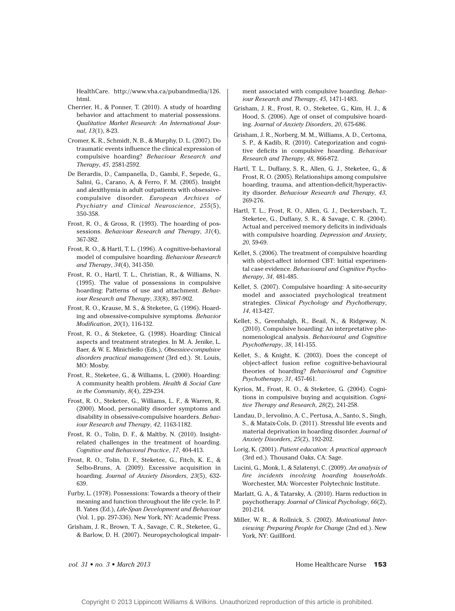HealthCare. http://www.vha.ca/pubandmedia/126. html.

- Cherrier, H., & Ponner, T. (2010). A study of hoarding behavior and attachment to material possessions. *Qualitative Market Research: An International Journal*, *13*(1), 8-23.
- Cromer, K. R., Schmidt, N. B., & Murphy, D. L. (2007). Do traumatic events influence the clinical expression of compulsive hoarding? *Behaviour Research and Therapy*, *45*, 2581-2592.
- De Berardis, D., Campanella, D., Gambi, F., Sepede, G., Salini, G., Carano, A, & Ferro, F. M. (2005). Insight and alexithymia in adult outpatients with obsessivecompulsive disorder. *European Archives of Psychiatry and Clinical Neuroscience*, *255*(5), 350-358.
- Frost, R. O., & Gross, R. (1993). The hoarding of possessions. *Behaviour Research and Therapy*, *31*(4), 367-382.
- Frost, R. O., & Hartl, T. L. (1996). A cognitive-behavioral model of compulsive hoarding. *Behaviour Research and Therapy*, *34*(4), 341-350.
- Frost, R. O., Hartl, T. L., Christian, R., & Williams, N. (1995). The value of possessions in compulsive hoarding: Patterns of use and attachment. *Behaviour Research and Therapy*, *33*(8), 897-902.
- Frost, R. O., Krause, M. S., & Steketee, G. (1996). Hoarding and obsessive-compulsive symptoms*. Behavior Modification*, *20*(1), 116-132.
- Frost, R. O., & Steketee, G. (1998). Hoarding: Clinical aspects and treatment strategies. In M. A. Jenike, L. Baer, & W. E. Minichiello (Eds.), *Obsessive-compulsive disorders practical management* (3rd ed.). St. Louis, MO: Mosby.
- Frost, R., Steketee, G., & Williams, L. (2000). Hoarding: A community health problem. *Health & Social Care in the Community*, *8*(4), 229-234.
- Frost, R. O., Steketee, G., Williams, L. F., & Warren, R. (2000). Mood, personality disorder symptoms and disability in obsessive-compulsive hoarders. *Behaviour Research and Therapy*, *42*, 1163-1182.
- Frost, R. O., Tolin, D. F., & Maltby, N. (2010). Insightrelated challenges in the treatment of hoarding. *Cognitive and Behavioral Practice*, *17*, 404-413.
- Frost, R. O., Tolin, D. F., Steketee, G., Fitch, K. E., & Selbo-Bruns, A. (2009). Excessive acquisition in hoarding. *Journal of Anxiety Disorders*, *23*(5), 632- 639.
- Furby, L. (1978). Possessions: Towards a theory of their meaning and function throughout the life cycle. In P. B. Yates (Ed.), *Life-Span Development and Behaviour* (Vol. 1, pp. 297-336). New York, NY: Academic Press.
- Grisham, J. R., Brown, T. A., Savage, C. R., Steketee, G., & Barlow, D. H. (2007). Neuropsychological impair-

ment associated with compulsive hoarding. *Behaviour Research and Therapy*, *45*, 1471-1483.

- Grisham, J. R., Frost, R. O., Steketee, G., Kim, H. J., & Hood, S. (2006). Age of onset of compulsive hoarding. *Journal of Anxiety Disorders*, *20*, 675-686.
- Grisham, J. R., Norberg, M. M., Williams, A. D., Certoma, S. P., & Kadib, R. (2010). Categorization and cognitive deficits in compulsive hoarding. *Behaviour Research and Therapy*, *48*, 866-872.
- Hartl, T. L., Duffany, S. R., Allen, G. J., Steketee, G., & Frost, R. O. (2005). Relationships among compulsive hoarding, trauma, and attention-deficit/hyperactivity disorder. *Behaviour Research and Therapy*, *43*, 269-276.
- Hartl, T. L., Frost, R. O., Allen, G. J., Deckersbach, T., Steketee, G., Duffany, S. R., & Savage, C. R. (2004). Actual and perceived memory deficits in individuals with compulsive hoarding. *Depression and Anxiety*, *20*, 59-69.
- Kellet, S. (2006). The treatment of compulsive hoarding with object-affect informed CBT: Initial experimental case evidence. *Behavioural and Cognitive Psychotherapy*, *34*, 481-485.
- Kellet, S. (2007). Compulsive hoarding: A site-security model and associated psychological treatment strategies. *Clinical Psychology and Psychotherapy*, *14*, 413-427.
- Kellet, S., Greenhalgh, R., Beail, N., & Ridgeway, N. (2010). Compulsive hoarding: An interpretative phenomenological analysis. *Behavioural and Cognitive Psychotherapy*, *38*, 141-155.
- Kellet, S., & Knight, K. (2003). Does the concept of object-affect fusion refine cognitive-behavioural theories of hoarding? *Behavioural and Cognitive Psychotherapy*, *31*, 457-461.
- Kyrios, M., Frost, R. O., & Steketee, G. (2004). Cognitions in compulsive buying and acquisition. *Cognitive Therapy and Research*, *28*(2), 241-258.
- Landau, D., Iervolino, A. C., Pertusa, A., Santo, S., Singh, S., & Mataix-Cols, D. (2011). Stressful life events and material deprivation in hoarding disorder. *Journal of Anxiety Disorders*, *25*(2), 192-202.
- Lorig, K. (2001). *Patient education: A practical approach* (3rd ed.). Thousand Oaks, CA: Sage.
- Lucini, G., Monk, I., & Szlatenyi, C. (2009). *An analysis of fire incidents involving hoarding households*. Worchester, MA: Worcester Polytechnic Institute.
- Marlatt, G. A., & Tatarsky, A. (2010). Harm reduction in psychotherapy. *Journal of Clinical Psychology*, *66*(2), 201-214.
- Miller, W. R., & Rollnick, S. (2002). *Motivational Interviewing: Preparing People for Change* (2nd ed.). New York, NY: Guillford.

*vol. 31* • *no. 3* • *March 2013* **Home Healthcare Nurse 153**